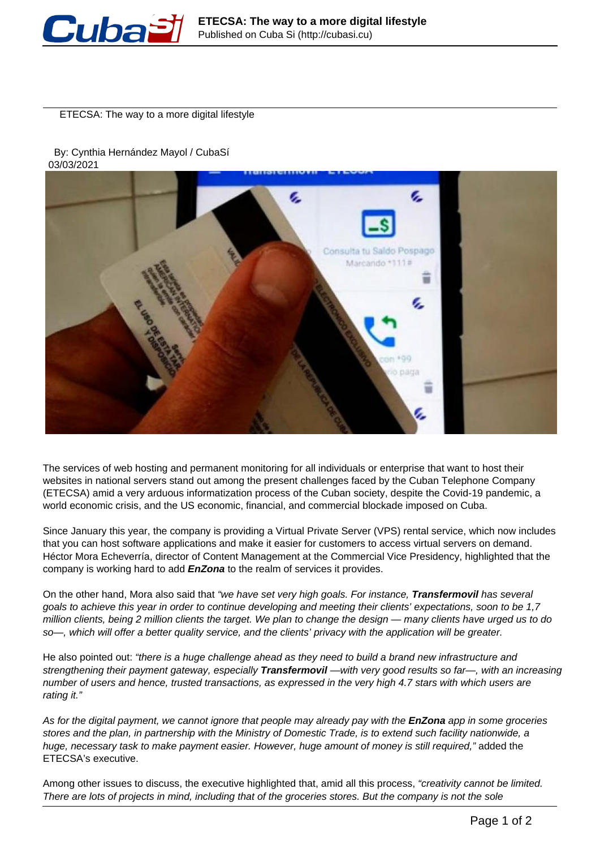

ETECSA: The way to a more digital lifestyle

 By: Cynthia Hernández Mayol / CubaSí 03/03/2021



The services of web hosting and permanent monitoring for all individuals or enterprise that want to host their websites in national servers stand out among the present challenges faced by the Cuban Telephone Company (ETECSA) amid a very arduous informatization process of the Cuban society, despite the Covid-19 pandemic, a world economic crisis, and the US economic, financial, and commercial blockade imposed on Cuba.

Since January this year, the company is providing a Virtual Private Server (VPS) rental service, which now includes that you can host software applications and make it easier for customers to access virtual servers on demand. Héctor Mora Echeverría, director of Content Management at the Commercial Vice Presidency, highlighted that the company is working hard to add **EnZona** to the realm of services it provides.

On the other hand, Mora also said that "we have set very high goals. For instance, **Transfermovil** has several goals to achieve this year in order to continue developing and meeting their clients' expectations, soon to be 1,7 million clients, being 2 million clients the target. We plan to change the design — many clients have urged us to do so—, which will offer a better quality service, and the clients' privacy with the application will be greater.

He also pointed out: "there is a huge challenge ahead as they need to build a brand new infrastructure and strengthening their payment gateway, especially **Transfermovil** —with very good results so far—, with an increasing number of users and hence, trusted transactions, as expressed in the very high 4.7 stars with which users are rating it."

As for the digital payment, we cannot ignore that people may already pay with the **EnZona** app in some groceries stores and the plan, in partnership with the Ministry of Domestic Trade, is to extend such facility nationwide, a huge, necessary task to make payment easier. However, huge amount of money is still required," added the ETECSA's executive.

Among other issues to discuss, the executive highlighted that, amid all this process, "creativity cannot be limited. There are lots of projects in mind, including that of the groceries stores. But the company is not the sole